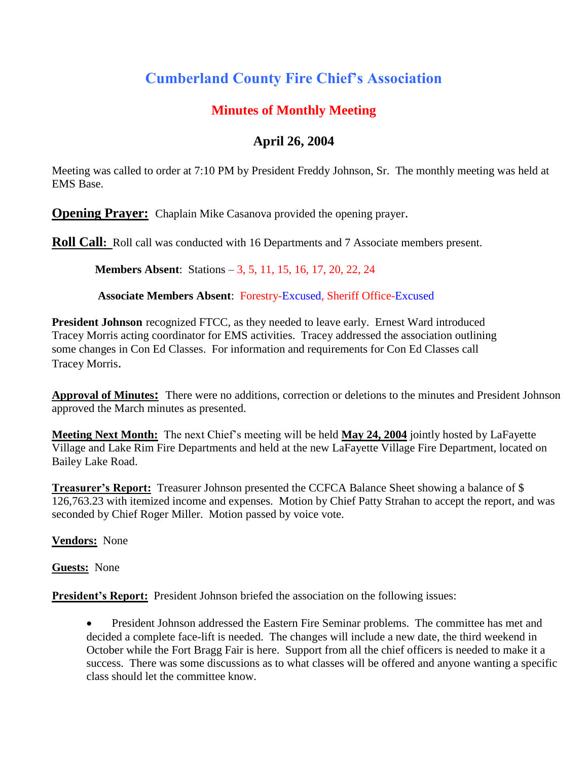# **Cumberland County Fire Chief's Association**

# **Minutes of Monthly Meeting**

# **April 26, 2004**

Meeting was called to order at 7:10 PM by President Freddy Johnson, Sr. The monthly meeting was held at EMS Base.

**Opening Prayer:** Chaplain Mike Casanova provided the opening prayer.

**Roll Call**: Roll call was conducted with 16 Departments and 7 Associate members present.

**Members Absent**: Stations – 3, 5, 11, 15, 16, 17, 20, 22, 24

**Associate Members Absent**: Forestry-Excused, Sheriff Office-Excused

**President Johnson** recognized FTCC, as they needed to leave early. Ernest Ward introduced Tracey Morris acting coordinator for EMS activities. Tracey addressed the association outlining some changes in Con Ed Classes. For information and requirements for Con Ed Classes call Tracey Morris.

**Approval of Minutes:** There were no additions, correction or deletions to the minutes and President Johnson approved the March minutes as presented.

**Meeting Next Month:** The next Chief's meeting will be held **May 24, 2004** jointly hosted by LaFayette Village and Lake Rim Fire Departments and held at the new LaFayette Village Fire Department, located on Bailey Lake Road.

**Treasurer's Report:** Treasurer Johnson presented the CCFCA Balance Sheet showing a balance of \$ 126,763.23 with itemized income and expenses. Motion by Chief Patty Strahan to accept the report, and was seconded by Chief Roger Miller. Motion passed by voice vote.

**Vendors:** None

**Guests:** None

**President's Report:** President Johnson briefed the association on the following issues:

 President Johnson addressed the Eastern Fire Seminar problems. The committee has met and decided a complete face-lift is needed. The changes will include a new date, the third weekend in October while the Fort Bragg Fair is here. Support from all the chief officers is needed to make it a success. There was some discussions as to what classes will be offered and anyone wanting a specific class should let the committee know.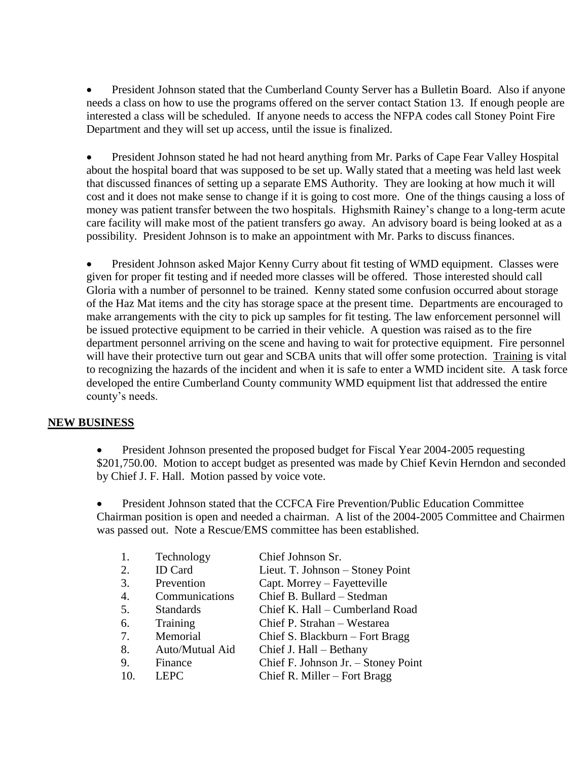• President Johnson stated that the Cumberland County Server has a Bulletin Board. Also if anyone needs a class on how to use the programs offered on the server contact Station 13. If enough people are interested a class will be scheduled. If anyone needs to access the NFPA codes call Stoney Point Fire Department and they will set up access, until the issue is finalized.

 President Johnson stated he had not heard anything from Mr. Parks of Cape Fear Valley Hospital about the hospital board that was supposed to be set up. Wally stated that a meeting was held last week that discussed finances of setting up a separate EMS Authority. They are looking at how much it will cost and it does not make sense to change if it is going to cost more. One of the things causing a loss of money was patient transfer between the two hospitals. Highsmith Rainey's change to a long-term acute care facility will make most of the patient transfers go away. An advisory board is being looked at as a possibility. President Johnson is to make an appointment with Mr. Parks to discuss finances.

 President Johnson asked Major Kenny Curry about fit testing of WMD equipment. Classes were given for proper fit testing and if needed more classes will be offered. Those interested should call Gloria with a number of personnel to be trained. Kenny stated some confusion occurred about storage of the Haz Mat items and the city has storage space at the present time. Departments are encouraged to make arrangements with the city to pick up samples for fit testing. The law enforcement personnel will be issued protective equipment to be carried in their vehicle. A question was raised as to the fire department personnel arriving on the scene and having to wait for protective equipment. Fire personnel will have their protective turn out gear and SCBA units that will offer some protection. Training is vital to recognizing the hazards of the incident and when it is safe to enter a WMD incident site. A task force developed the entire Cumberland County community WMD equipment list that addressed the entire county's needs.

#### **NEW BUSINESS**

 President Johnson presented the proposed budget for Fiscal Year 2004-2005 requesting \$201,750.00. Motion to accept budget as presented was made by Chief Kevin Herndon and seconded by Chief J. F. Hall. Motion passed by voice vote.

 President Johnson stated that the CCFCA Fire Prevention/Public Education Committee Chairman position is open and needed a chairman. A list of the 2004-2005 Committee and Chairmen was passed out. Note a Rescue/EMS committee has been established.

| 1.  | Technology       | Chief Johnson Sr.                   |
|-----|------------------|-------------------------------------|
| 2.  | <b>ID</b> Card   | Lieut. T. Johnson – Stoney Point    |
| 3.  | Prevention       | Capt. Morrey – Fayetteville         |
| 4.  | Communications   | Chief B. Bullard - Stedman          |
| 5.  | <b>Standards</b> | Chief K. Hall - Cumberland Road     |
| 6.  | Training         | Chief P. Strahan - Westarea         |
| 7.  | Memorial         | Chief S. Blackburn - Fort Bragg     |
| 8.  | Auto/Mutual Aid  | Chief J. Hall – Bethany             |
| 9.  | Finance          | Chief F. Johnson Jr. - Stoney Point |
| 10. | <b>LEPC</b>      | Chief R. Miller $-$ Fort Bragg      |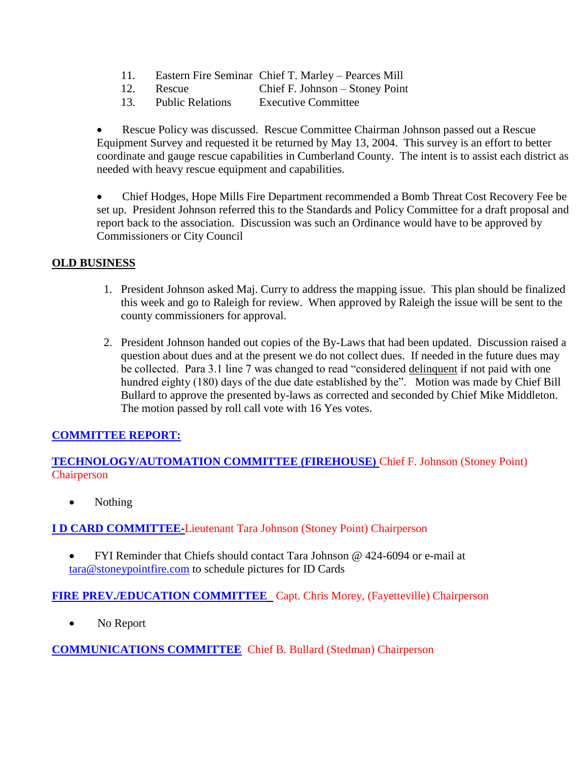- 11. Eastern Fire Seminar Chief T. Marley Pearces Mill
- 12. Rescue Chief F. Johnson Stoney Point
- 13. Public Relations Executive Committee

 Rescue Policy was discussed. Rescue Committee Chairman Johnson passed out a Rescue Equipment Survey and requested it be returned by May 13, 2004. This survey is an effort to better coordinate and gauge rescue capabilities in Cumberland County. The intent is to assist each district as needed with heavy rescue equipment and capabilities.

 Chief Hodges, Hope Mills Fire Department recommended a Bomb Threat Cost Recovery Fee be set up. President Johnson referred this to the Standards and Policy Committee for a draft proposal and report back to the association. Discussion was such an Ordinance would have to be approved by Commissioners or City Council

#### **OLD BUSINESS**

- 1. President Johnson asked Maj. Curry to address the mapping issue. This plan should be finalized this week and go to Raleigh for review. When approved by Raleigh the issue will be sent to the county commissioners for approval.
- 2. President Johnson handed out copies of the By-Laws that had been updated. Discussion raised a question about dues and at the present we do not collect dues. If needed in the future dues may be collected. Para 3.1 line 7 was changed to read "considered delinquent if not paid with one hundred eighty (180) days of the due date established by the". Motion was made by Chief Bill Bullard to approve the presented by-laws as corrected and seconded by Chief Mike Middleton. The motion passed by roll call vote with 16 Yes votes.

### **COMMITTEE REPORT:**

**TECHNOLOGY/AUTOMATION COMMITTEE (FIREHOUSE)** Chief F. Johnson (Stoney Point) **Chairperson** 

• Nothing

**I D CARD COMMITTEE-**Lieutenant Tara Johnson (Stoney Point) Chairperson

 FYI Reminder that Chiefs should contact Tara Johnson @ 424-6094 or e-mail at [tara@stoneypointfire.com](mailto:tara@stoneypointfire.com) to schedule pictures for ID Cards

**FIRE PREV./EDUCATION COMMITTEE** Capt. Chris Morey, (Fayetteville) Chairperson

• No Report

**COMMUNICATIONS COMMITTEE** Chief B. Bullard (Stedman) Chairperson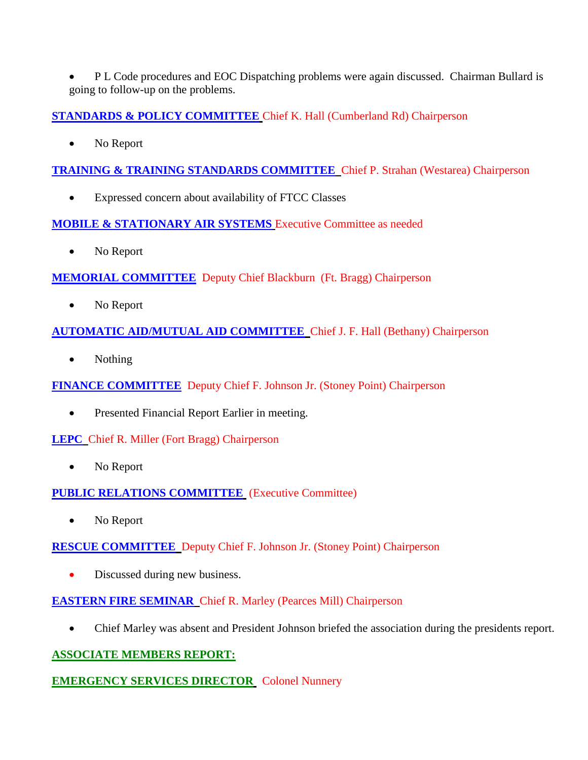P L Code procedures and EOC Dispatching problems were again discussed. Chairman Bullard is going to follow-up on the problems.

**STANDARDS & POLICY COMMITTEE** Chief K. Hall (Cumberland Rd) Chairperson

No Report

**TRAINING & TRAINING STANDARDS COMMITTEE** Chief P. Strahan (Westarea) Chairperson

Expressed concern about availability of FTCC Classes

# **MOBILE & STATIONARY AIR SYSTEMS** Executive Committee as needed

• No Report

# **MEMORIAL COMMITTEE** Deputy Chief Blackburn (Ft. Bragg) Chairperson

No Report

# **AUTOMATIC AID/MUTUAL AID COMMITTEE** Chief J. F. Hall (Bethany) Chairperson

• Nothing

**FINANCE COMMITTEE** Deputy Chief F. Johnson Jr. (Stoney Point) Chairperson

• Presented Financial Report Earlier in meeting.

# **LEPC** Chief R. Miller (Fort Bragg) Chairperson

No Report

**PUBLIC RELATIONS COMMITTEE** (Executive Committee)

• No Report

**RESCUE COMMITTEE** Deputy Chief F. Johnson Jr. (Stoney Point) Chairperson

• Discussed during new business.

# **EASTERN FIRE SEMINAR** Chief R. Marley (Pearces Mill) Chairperson

Chief Marley was absent and President Johnson briefed the association during the presidents report.

# **ASSOCIATE MEMBERS REPORT:**

# **EMERGENCY SERVICES DIRECTOR** Colonel Nunnery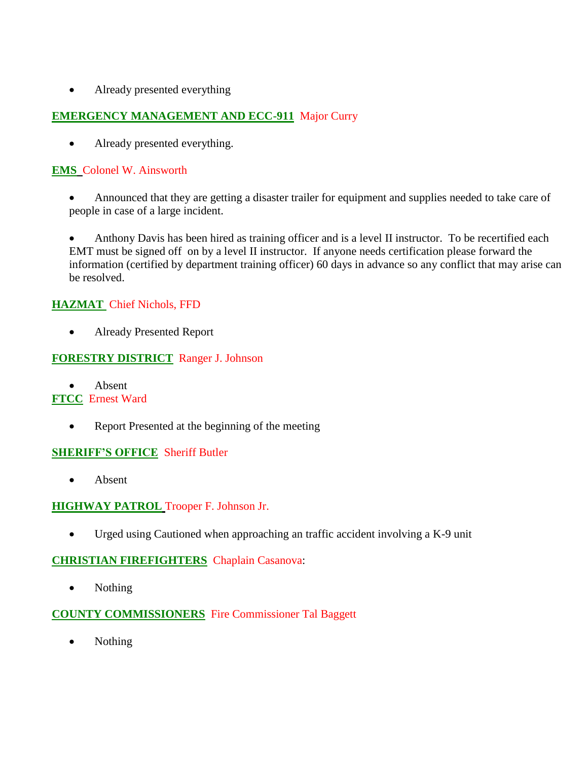• Already presented everything

## **EMERGENCY MANAGEMENT AND ECC-911** Major Curry

• Already presented everything.

### **EMS** Colonel W. Ainsworth

 Announced that they are getting a disaster trailer for equipment and supplies needed to take care of people in case of a large incident.

 Anthony Davis has been hired as training officer and is a level II instructor. To be recertified each EMT must be signed off on by a level II instructor. If anyone needs certification please forward the information (certified by department training officer) 60 days in advance so any conflict that may arise can be resolved.

## **HAZMAT** Chief Nichols, FFD

Already Presented Report

### **FORESTRY DISTRICT** Ranger J. Johnson

Absent

### **FTCC** Ernest Ward

• Report Presented at the beginning of the meeting

### **SHERIFF'S OFFICE** Sheriff Butler

• Absent

### **HIGHWAY PATROL** Trooper F. Johnson Jr.

Urged using Cautioned when approaching an traffic accident involving a K-9 unit

### **CHRISTIAN FIREFIGHTERS** Chaplain Casanova:

• Nothing

### **COUNTY COMMISSIONERS** Fire Commissioner Tal Baggett

• Nothing